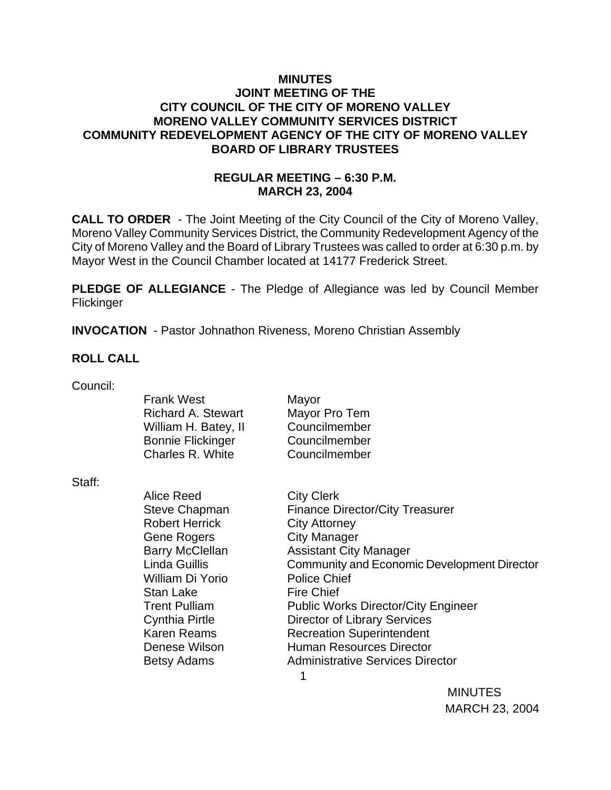## **MINUTES JOINT MEETING OF THE CITY COUNCIL OF THE CITY OF MORENO VALLEY MORENO VALLEY COMMUNITY SERVICES DISTRICT COMMUNITY REDEVELOPMENT AGENCY OF THE CITY OF MORENO VALLEY BOARD OF LIBRARY TRUSTEES**

## **REGULAR MEETING – 6:30 P.M. MARCH 23, 2004**

**CALL TO ORDER** - The Joint Meeting of the City Council of the City of Moreno Valley, Moreno Valley Community Services District, the Community Redevelopment Agency of the City of Moreno Valley and the Board of Library Trustees was called to order at 6:30 p.m. by Mayor West in the Council Chamber located at 14177 Frederick Street.

**PLEDGE OF ALLEGIANCE** - The Pledge of Allegiance was led by Council Member **Flickinger** 

**INVOCATION** - Pastor Johnathon Riveness, Moreno Christian Assembly

## **ROLL CALL**

Council:

|        | <b>Frank West</b><br><b>Richard A. Stewart</b><br>William H. Batey, II<br><b>Bonnie Flickinger</b><br>Charles R. White                                                                                                                          | Mayor<br>Mayor Pro Tem<br>Councilmember<br>Councilmember<br>Councilmember                                                                                                                                                                                                                                                                                                                                                       |
|--------|-------------------------------------------------------------------------------------------------------------------------------------------------------------------------------------------------------------------------------------------------|---------------------------------------------------------------------------------------------------------------------------------------------------------------------------------------------------------------------------------------------------------------------------------------------------------------------------------------------------------------------------------------------------------------------------------|
| Staff: |                                                                                                                                                                                                                                                 |                                                                                                                                                                                                                                                                                                                                                                                                                                 |
|        | Alice Reed<br>Steve Chapman<br><b>Robert Herrick</b><br>Gene Rogers<br>Barry McClellan<br>Linda Guillis<br>William Di Yorio<br>Stan Lake<br><b>Trent Pulliam</b><br>Cynthia Pirtle<br><b>Karen Reams</b><br>Denese Wilson<br><b>Betsy Adams</b> | <b>City Clerk</b><br><b>Finance Director/City Treasurer</b><br><b>City Attorney</b><br><b>City Manager</b><br><b>Assistant City Manager</b><br>Community and Economic Development Director<br>Police Chief<br><b>Fire Chief</b><br><b>Public Works Director/City Engineer</b><br>Director of Library Services<br><b>Recreation Superintendent</b><br><b>Human Resources Director</b><br><b>Administrative Services Director</b> |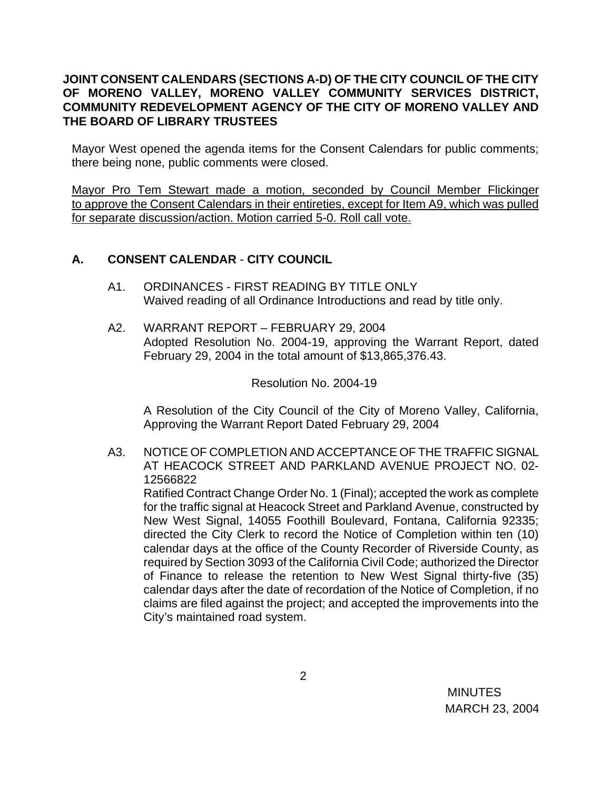## **JOINT CONSENT CALENDARS (SECTIONS A-D) OF THE CITY COUNCIL OF THE CITY OF MORENO VALLEY, MORENO VALLEY COMMUNITY SERVICES DISTRICT, COMMUNITY REDEVELOPMENT AGENCY OF THE CITY OF MORENO VALLEY AND THE BOARD OF LIBRARY TRUSTEES**

Mayor West opened the agenda items for the Consent Calendars for public comments; there being none, public comments were closed.

Mayor Pro Tem Stewart made a motion, seconded by Council Member Flickinger to approve the Consent Calendars in their entireties, except for Item A9, which was pulled for separate discussion/action. Motion carried 5-0. Roll call vote.

## **A. CONSENT CALENDAR** - **CITY COUNCIL**

- A1. ORDINANCES FIRST READING BY TITLE ONLY Waived reading of all Ordinance Introductions and read by title only.
- A2. WARRANT REPORT FEBRUARY 29, 2004 Adopted Resolution No. 2004-19, approving the Warrant Report, dated February 29, 2004 in the total amount of \$13,865,376.43.

Resolution No. 2004-19

A Resolution of the City Council of the City of Moreno Valley, California, Approving the Warrant Report Dated February 29, 2004

A3. NOTICE OF COMPLETION AND ACCEPTANCE OF THE TRAFFIC SIGNAL AT HEACOCK STREET AND PARKLAND AVENUE PROJECT NO. 02- 12566822

Ratified Contract Change Order No. 1 (Final); accepted the work as complete for the traffic signal at Heacock Street and Parkland Avenue, constructed by New West Signal, 14055 Foothill Boulevard, Fontana, California 92335; directed the City Clerk to record the Notice of Completion within ten (10) calendar days at the office of the County Recorder of Riverside County, as required by Section 3093 of the California Civil Code; authorized the Director of Finance to release the retention to New West Signal thirty-five (35) calendar days after the date of recordation of the Notice of Completion, if no claims are filed against the project; and accepted the improvements into the City's maintained road system.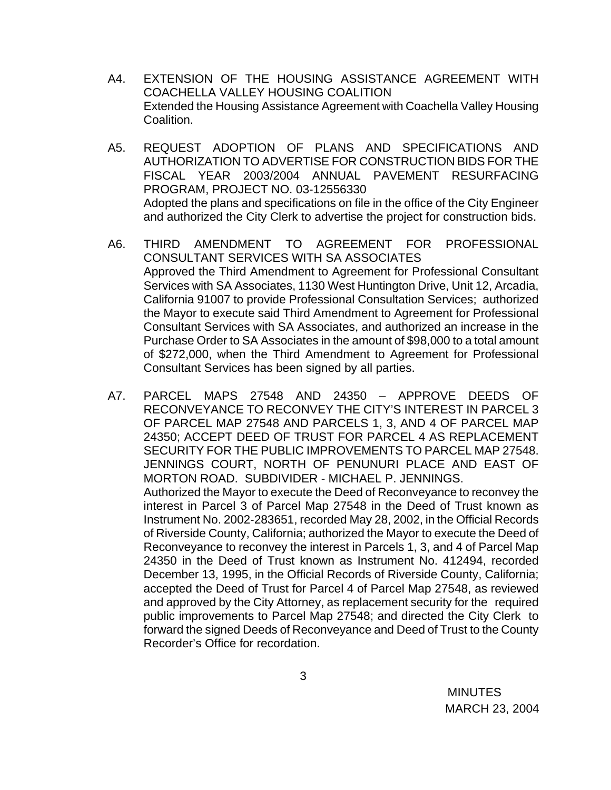- A4. EXTENSION OF THE HOUSING ASSISTANCE AGREEMENT WITH COACHELLA VALLEY HOUSING COALITION Extended the Housing Assistance Agreement with Coachella Valley Housing Coalition.
- A5. REQUEST ADOPTION OF PLANS AND SPECIFICATIONS AND AUTHORIZATION TO ADVERTISE FOR CONSTRUCTION BIDS FOR THE FISCAL YEAR 2003/2004 ANNUAL PAVEMENT RESURFACING PROGRAM, PROJECT NO. 03-12556330 Adopted the plans and specifications on file in the office of the City Engineer and authorized the City Clerk to advertise the project for construction bids.
- A6. THIRD AMENDMENT TO AGREEMENT FOR PROFESSIONAL CONSULTANT SERVICES WITH SA ASSOCIATES Approved the Third Amendment to Agreement for Professional Consultant Services with SA Associates, 1130 West Huntington Drive, Unit 12, Arcadia, California 91007 to provide Professional Consultation Services; authorized the Mayor to execute said Third Amendment to Agreement for Professional Consultant Services with SA Associates, and authorized an increase in the Purchase Order to SA Associates in the amount of \$98,000 to a total amount of \$272,000, when the Third Amendment to Agreement for Professional Consultant Services has been signed by all parties.
- A7. PARCEL MAPS 27548 AND 24350 APPROVE DEEDS OF RECONVEYANCE TO RECONVEY THE CITY'S INTEREST IN PARCEL 3 OF PARCEL MAP 27548 AND PARCELS 1, 3, AND 4 OF PARCEL MAP 24350; ACCEPT DEED OF TRUST FOR PARCEL 4 AS REPLACEMENT SECURITY FOR THE PUBLIC IMPROVEMENTS TO PARCEL MAP 27548. JENNINGS COURT, NORTH OF PENUNURI PLACE AND EAST OF MORTON ROAD. SUBDIVIDER - MICHAEL P. JENNINGS. Authorized the Mayor to execute the Deed of Reconveyance to reconvey the interest in Parcel 3 of Parcel Map 27548 in the Deed of Trust known as Instrument No. 2002-283651, recorded May 28, 2002, in the Official Records of Riverside County, California; authorized the Mayor to execute the Deed of Reconveyance to reconvey the interest in Parcels 1, 3, and 4 of Parcel Map 24350 in the Deed of Trust known as Instrument No. 412494, recorded December 13, 1995, in the Official Records of Riverside County, California; accepted the Deed of Trust for Parcel 4 of Parcel Map 27548, as reviewed and approved by the City Attorney, as replacement security for the required public improvements to Parcel Map 27548; and directed the City Clerk to forward the signed Deeds of Reconveyance and Deed of Trust to the County Recorder's Office for recordation.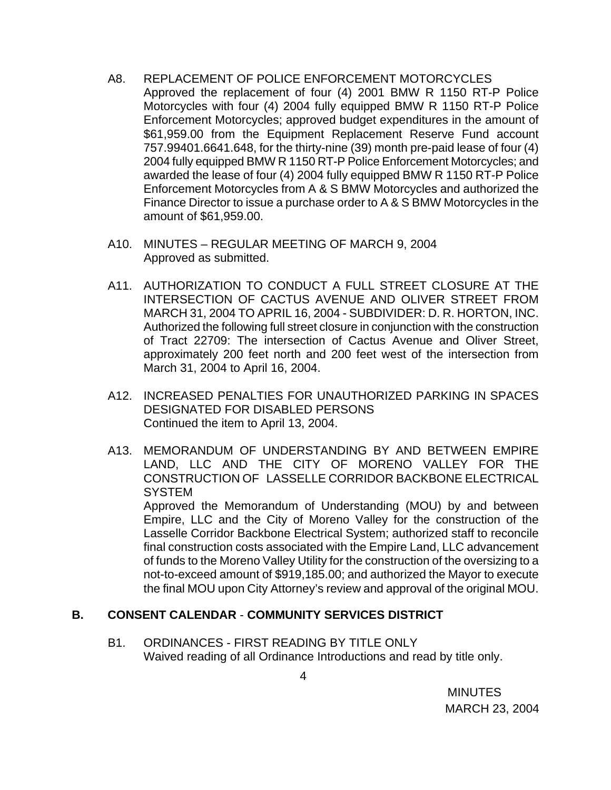- A8. REPLACEMENT OF POLICE ENFORCEMENT MOTORCYCLES Approved the replacement of four (4) 2001 BMW R 1150 RT-P Police Motorcycles with four (4) 2004 fully equipped BMW R 1150 RT-P Police Enforcement Motorcycles; approved budget expenditures in the amount of \$61,959.00 from the Equipment Replacement Reserve Fund account 757.99401.6641.648, for the thirty-nine (39) month pre-paid lease of four (4) 2004 fully equipped BMW R 1150 RT-P Police Enforcement Motorcycles; and awarded the lease of four (4) 2004 fully equipped BMW R 1150 RT-P Police Enforcement Motorcycles from A & S BMW Motorcycles and authorized the Finance Director to issue a purchase order to A & S BMW Motorcycles in the amount of \$61,959.00.
- A10. MINUTES REGULAR MEETING OF MARCH 9, 2004 Approved as submitted.
- A11. AUTHORIZATION TO CONDUCT A FULL STREET CLOSURE AT THE INTERSECTION OF CACTUS AVENUE AND OLIVER STREET FROM MARCH 31, 2004 TO APRIL 16, 2004 - SUBDIVIDER: D. R. HORTON, INC. Authorized the following full street closure in conjunction with the construction of Tract 22709: The intersection of Cactus Avenue and Oliver Street, approximately 200 feet north and 200 feet west of the intersection from March 31, 2004 to April 16, 2004.
- A12. INCREASED PENALTIES FOR UNAUTHORIZED PARKING IN SPACES DESIGNATED FOR DISABLED PERSONS Continued the item to April 13, 2004.
- A13. MEMORANDUM OF UNDERSTANDING BY AND BETWEEN EMPIRE LAND, LLC AND THE CITY OF MORENO VALLEY FOR THE CONSTRUCTION OF LASSELLE CORRIDOR BACKBONE ELECTRICAL **SYSTEM**

 Approved the Memorandum of Understanding (MOU) by and between Empire, LLC and the City of Moreno Valley for the construction of the Lasselle Corridor Backbone Electrical System; authorized staff to reconcile final construction costs associated with the Empire Land, LLC advancement of funds to the Moreno Valley Utility for the construction of the oversizing to a not-to-exceed amount of \$919,185.00; and authorized the Mayor to execute the final MOU upon City Attorney's review and approval of the original MOU.

## **B. CONSENT CALENDAR** - **COMMUNITY SERVICES DISTRICT**

B1. ORDINANCES - FIRST READING BY TITLE ONLY Waived reading of all Ordinance Introductions and read by title only.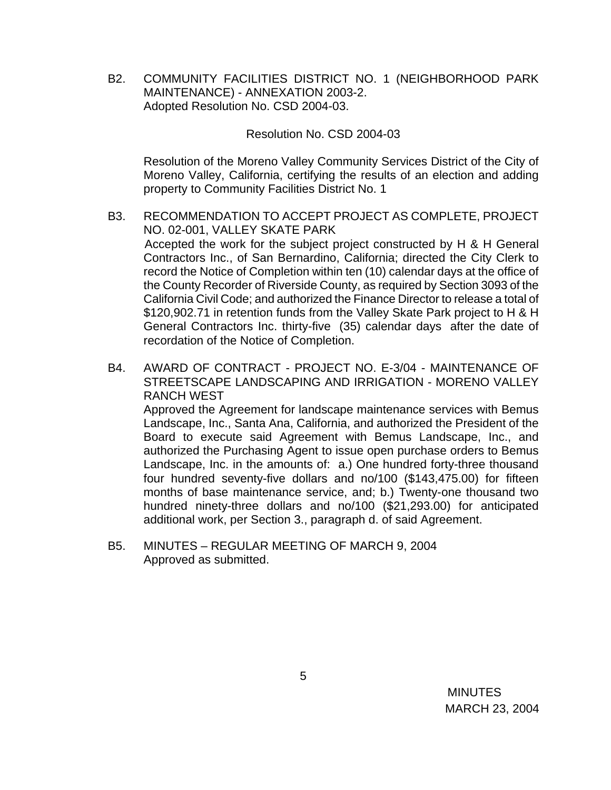B2. COMMUNITY FACILITIES DISTRICT NO. 1 (NEIGHBORHOOD PARK MAINTENANCE) - ANNEXATION 2003-2. Adopted Resolution No. CSD 2004-03.

#### Resolution No. CSD 2004-03

 Resolution of the Moreno Valley Community Services District of the City of Moreno Valley, California, certifying the results of an election and adding property to Community Facilities District No. 1

- B3. RECOMMENDATION TO ACCEPT PROJECT AS COMPLETE, PROJECT NO. 02-001, VALLEY SKATE PARK Accepted the work for the subject project constructed by H & H General Contractors Inc., of San Bernardino, California; directed the City Clerk to record the Notice of Completion within ten (10) calendar days at the office of the County Recorder of Riverside County, as required by Section 3093 of the California Civil Code; and authorized the Finance Director to release a total of \$120,902.71 in retention funds from the Valley Skate Park project to H & H General Contractors Inc. thirty-five (35) calendar days after the date of recordation of the Notice of Completion.
- B4. AWARD OF CONTRACT PROJECT NO. E-3/04 MAINTENANCE OF STREETSCAPE LANDSCAPING AND IRRIGATION - MORENO VALLEY RANCH WEST

 Approved the Agreement for landscape maintenance services with Bemus Landscape, Inc., Santa Ana, California, and authorized the President of the Board to execute said Agreement with Bemus Landscape, Inc., and authorized the Purchasing Agent to issue open purchase orders to Bemus Landscape, Inc. in the amounts of: a.) One hundred forty-three thousand four hundred seventy-five dollars and no/100 (\$143,475.00) for fifteen months of base maintenance service, and; b.) Twenty-one thousand two hundred ninety-three dollars and no/100 (\$21,293.00) for anticipated additional work, per Section 3., paragraph d. of said Agreement.

 B5. MINUTES – REGULAR MEETING OF MARCH 9, 2004 Approved as submitted.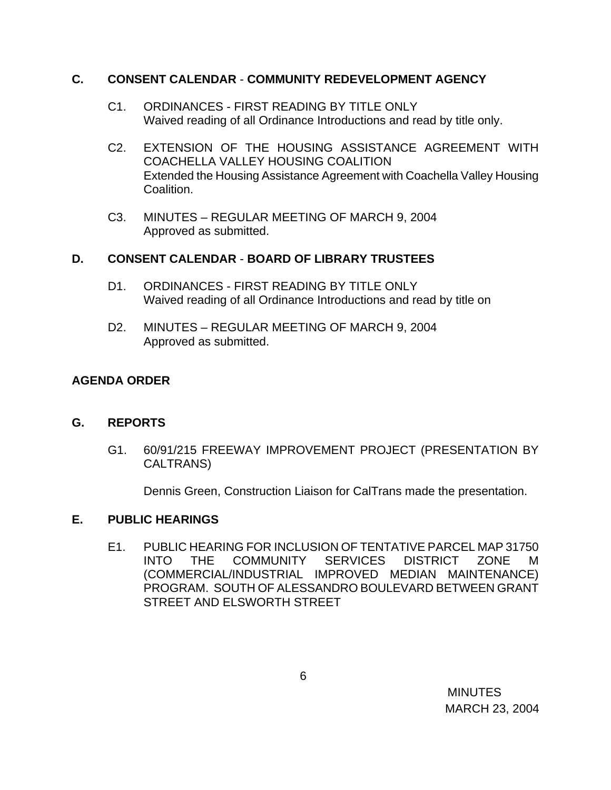## **C. CONSENT CALENDAR** - **COMMUNITY REDEVELOPMENT AGENCY**

- C1. ORDINANCES FIRST READING BY TITLE ONLY Waived reading of all Ordinance Introductions and read by title only.
- C2. EXTENSION OF THE HOUSING ASSISTANCE AGREEMENT WITH COACHELLA VALLEY HOUSING COALITION Extended the Housing Assistance Agreement with Coachella Valley Housing Coalition.
- C3. MINUTES REGULAR MEETING OF MARCH 9, 2004 Approved as submitted.

# **D. CONSENT CALENDAR** - **BOARD OF LIBRARY TRUSTEES**

- D1. ORDINANCES FIRST READING BY TITLE ONLY Waived reading of all Ordinance Introductions and read by title on
- D2. MINUTES REGULAR MEETING OF MARCH 9, 2004 Approved as submitted.

# **AGENDA ORDER**

# **G. REPORTS**

G1. 60/91/215 FREEWAY IMPROVEMENT PROJECT (PRESENTATION BY CALTRANS)

Dennis Green, Construction Liaison for CalTrans made the presentation.

## **E. PUBLIC HEARINGS**

E1. PUBLIC HEARING FOR INCLUSION OF TENTATIVE PARCEL MAP 31750 INTO THE COMMUNITY SERVICES DISTRICT ZONE M (COMMERCIAL/INDUSTRIAL IMPROVED MEDIAN MAINTENANCE) PROGRAM. SOUTH OF ALESSANDRO BOULEVARD BETWEEN GRANT STREET AND ELSWORTH STREET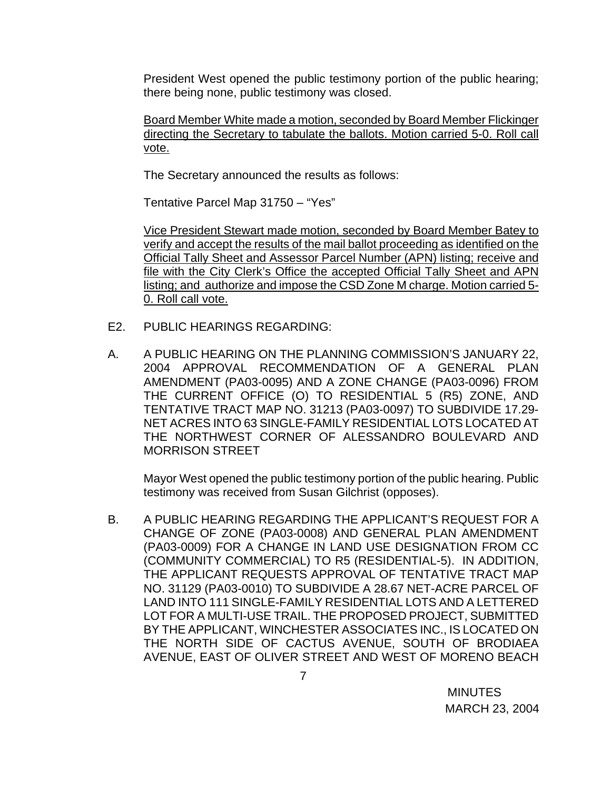President West opened the public testimony portion of the public hearing; there being none, public testimony was closed.

Board Member White made a motion, seconded by Board Member Flickinger directing the Secretary to tabulate the ballots. Motion carried 5-0. Roll call vote.

The Secretary announced the results as follows:

Tentative Parcel Map 31750 – "Yes"

 Vice President Stewart made motion, seconded by Board Member Batey to verify and accept the results of the mail ballot proceeding as identified on the Official Tally Sheet and Assessor Parcel Number (APN) listing; receive and file with the City Clerk's Office the accepted Official Tally Sheet and APN listing; and authorize and impose the CSD Zone M charge. Motion carried 5- 0. Roll call vote.

- E2. PUBLIC HEARINGS REGARDING:
- A. A PUBLIC HEARING ON THE PLANNING COMMISSION'S JANUARY 22, 2004 APPROVAL RECOMMENDATION OF A GENERAL PLAN AMENDMENT (PA03-0095) AND A ZONE CHANGE (PA03-0096) FROM THE CURRENT OFFICE (O) TO RESIDENTIAL 5 (R5) ZONE, AND TENTATIVE TRACT MAP NO. 31213 (PA03-0097) TO SUBDIVIDE 17.29- NET ACRES INTO 63 SINGLE-FAMILY RESIDENTIAL LOTS LOCATED AT THE NORTHWEST CORNER OF ALESSANDRO BOULEVARD AND MORRISON STREET

Mayor West opened the public testimony portion of the public hearing. Public testimony was received from Susan Gilchrist (opposes).

B. A PUBLIC HEARING REGARDING THE APPLICANT'S REQUEST FOR A CHANGE OF ZONE (PA03-0008) AND GENERAL PLAN AMENDMENT (PA03-0009) FOR A CHANGE IN LAND USE DESIGNATION FROM CC (COMMUNITY COMMERCIAL) TO R5 (RESIDENTIAL-5). IN ADDITION, THE APPLICANT REQUESTS APPROVAL OF TENTATIVE TRACT MAP NO. 31129 (PA03-0010) TO SUBDIVIDE A 28.67 NET-ACRE PARCEL OF LAND INTO 111 SINGLE-FAMILY RESIDENTIAL LOTS AND A LETTERED LOT FOR A MULTI-USE TRAIL. THE PROPOSED PROJECT, SUBMITTED BY THE APPLICANT, WINCHESTER ASSOCIATES INC., IS LOCATED ON THE NORTH SIDE OF CACTUS AVENUE, SOUTH OF BRODIAEA AVENUE, EAST OF OLIVER STREET AND WEST OF MORENO BEACH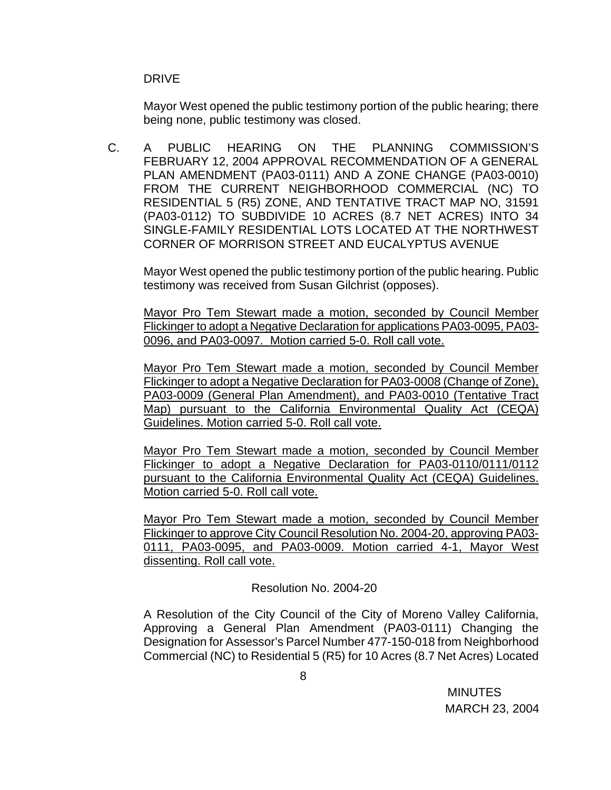DRIVE

Mayor West opened the public testimony portion of the public hearing; there being none, public testimony was closed.

 C. A PUBLIC HEARING ON THE PLANNING COMMISSION'S FEBRUARY 12, 2004 APPROVAL RECOMMENDATION OF A GENERAL PLAN AMENDMENT (PA03-0111) AND A ZONE CHANGE (PA03-0010) FROM THE CURRENT NEIGHBORHOOD COMMERCIAL (NC) TO RESIDENTIAL 5 (R5) ZONE, AND TENTATIVE TRACT MAP NO, 31591 (PA03-0112) TO SUBDIVIDE 10 ACRES (8.7 NET ACRES) INTO 34 SINGLE-FAMILY RESIDENTIAL LOTS LOCATED AT THE NORTHWEST CORNER OF MORRISON STREET AND EUCALYPTUS AVENUE

Mayor West opened the public testimony portion of the public hearing. Public testimony was received from Susan Gilchrist (opposes).

Mayor Pro Tem Stewart made a motion, seconded by Council Member Flickinger to adopt a Negative Declaration for applications PA03-0095, PA03- 0096, and PA03-0097. Motion carried 5-0. Roll call vote.

Mayor Pro Tem Stewart made a motion, seconded by Council Member Flickinger to adopt a Negative Declaration for PA03-0008 (Change of Zone), PA03-0009 (General Plan Amendment), and PA03-0010 (Tentative Tract Map) pursuant to the California Environmental Quality Act (CEQA) Guidelines. Motion carried 5-0. Roll call vote.

 Mayor Pro Tem Stewart made a motion, seconded by Council Member Flickinger to adopt a Negative Declaration for PA03-0110/0111/0112 pursuant to the California Environmental Quality Act (CEQA) Guidelines. Motion carried 5-0. Roll call vote.

 Mayor Pro Tem Stewart made a motion, seconded by Council Member Flickinger to approve City Council Resolution No. 2004-20, approving PA03- 0111, PA03-0095, and PA03-0009. Motion carried 4-1, Mayor West dissenting. Roll call vote.

# Resolution No. 2004-20

A Resolution of the City Council of the City of Moreno Valley California, Approving a General Plan Amendment (PA03-0111) Changing the Designation for Assessor's Parcel Number 477-150-018 from Neighborhood Commercial (NC) to Residential 5 (R5) for 10 Acres (8.7 Net Acres) Located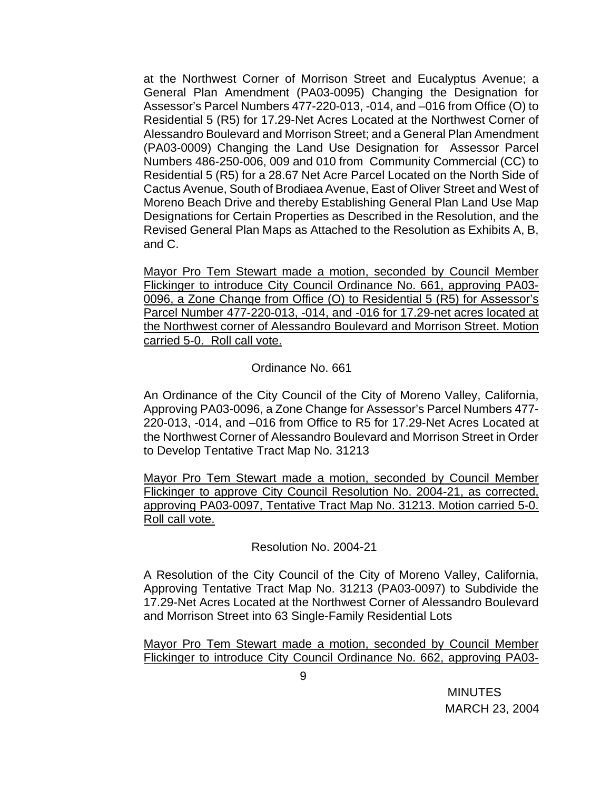at the Northwest Corner of Morrison Street and Eucalyptus Avenue; a General Plan Amendment (PA03-0095) Changing the Designation for Assessor's Parcel Numbers 477-220-013, -014, and –016 from Office (O) to Residential 5 (R5) for 17.29-Net Acres Located at the Northwest Corner of Alessandro Boulevard and Morrison Street; and a General Plan Amendment (PA03-0009) Changing the Land Use Designation for Assessor Parcel Numbers 486-250-006, 009 and 010 from Community Commercial (CC) to Residential 5 (R5) for a 28.67 Net Acre Parcel Located on the North Side of Cactus Avenue, South of Brodiaea Avenue, East of Oliver Street and West of Moreno Beach Drive and thereby Establishing General Plan Land Use Map Designations for Certain Properties as Described in the Resolution, and the Revised General Plan Maps as Attached to the Resolution as Exhibits A, B, and C.

Mayor Pro Tem Stewart made a motion, seconded by Council Member Flickinger to introduce City Council Ordinance No. 661, approving PA03- 0096, a Zone Change from Office (O) to Residential 5 (R5) for Assessor's Parcel Number 477-220-013, -014, and -016 for 17.29-net acres located at the Northwest corner of Alessandro Boulevard and Morrison Street. Motion carried 5-0. Roll call vote.

## Ordinance No. 661

An Ordinance of the City Council of the City of Moreno Valley, California, Approving PA03-0096, a Zone Change for Assessor's Parcel Numbers 477- 220-013, -014, and –016 from Office to R5 for 17.29-Net Acres Located at the Northwest Corner of Alessandro Boulevard and Morrison Street in Order to Develop Tentative Tract Map No. 31213

Mayor Pro Tem Stewart made a motion, seconded by Council Member Flickinger to approve City Council Resolution No. 2004-21, as corrected, approving PA03-0097, Tentative Tract Map No. 31213. Motion carried 5-0. Roll call vote.

## Resolution No. 2004-21

A Resolution of the City Council of the City of Moreno Valley, California, Approving Tentative Tract Map No. 31213 (PA03-0097) to Subdivide the 17.29-Net Acres Located at the Northwest Corner of Alessandro Boulevard and Morrison Street into 63 Single-Family Residential Lots

Mayor Pro Tem Stewart made a motion, seconded by Council Member Flickinger to introduce City Council Ordinance No. 662, approving PA03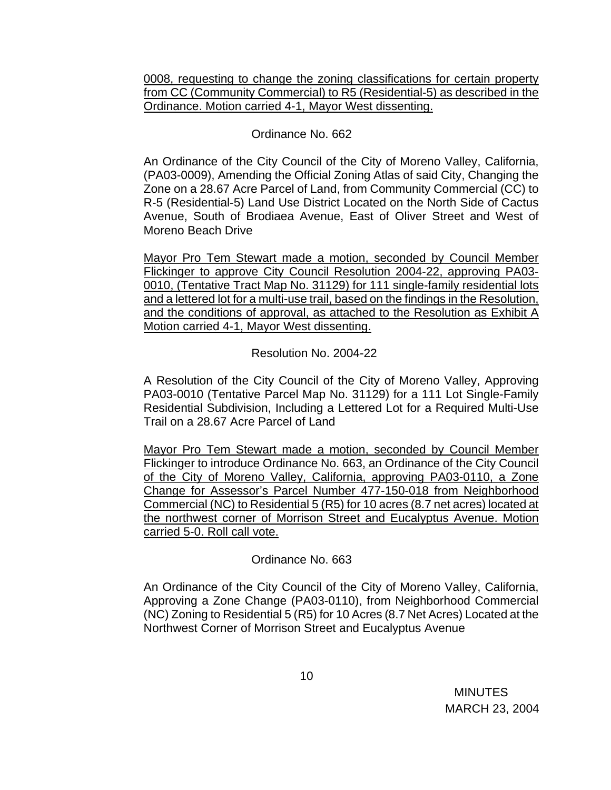0008, requesting to change the zoning classifications for certain property from CC (Community Commercial) to R5 (Residential-5) as described in the Ordinance. Motion carried 4-1, Mayor West dissenting.

# Ordinance No. 662

An Ordinance of the City Council of the City of Moreno Valley, California, (PA03-0009), Amending the Official Zoning Atlas of said City, Changing the Zone on a 28.67 Acre Parcel of Land, from Community Commercial (CC) to R-5 (Residential-5) Land Use District Located on the North Side of Cactus Avenue, South of Brodiaea Avenue, East of Oliver Street and West of Moreno Beach Drive

 Mayor Pro Tem Stewart made a motion, seconded by Council Member Flickinger to approve City Council Resolution 2004-22, approving PA03- 0010, (Tentative Tract Map No. 31129) for 111 single-family residential lots and a lettered lot for a multi-use trail, based on the findings in the Resolution, and the conditions of approval, as attached to the Resolution as Exhibit A Motion carried 4-1, Mayor West dissenting.

Resolution No. 2004-22

A Resolution of the City Council of the City of Moreno Valley, Approving PA03-0010 (Tentative Parcel Map No. 31129) for a 111 Lot Single-Family Residential Subdivision, Including a Lettered Lot for a Required Multi-Use Trail on a 28.67 Acre Parcel of Land

Mayor Pro Tem Stewart made a motion, seconded by Council Member Flickinger to introduce Ordinance No. 663, an Ordinance of the City Council of the City of Moreno Valley, California, approving PA03-0110, a Zone Change for Assessor's Parcel Number 477-150-018 from Neighborhood Commercial (NC) to Residential 5 (R5) for 10 acres (8.7 net acres) located at the northwest corner of Morrison Street and Eucalyptus Avenue. Motion carried 5-0. Roll call vote.

# Ordinance No. 663

An Ordinance of the City Council of the City of Moreno Valley, California, Approving a Zone Change (PA03-0110), from Neighborhood Commercial (NC) Zoning to Residential 5 (R5) for 10 Acres (8.7 Net Acres) Located at the Northwest Corner of Morrison Street and Eucalyptus Avenue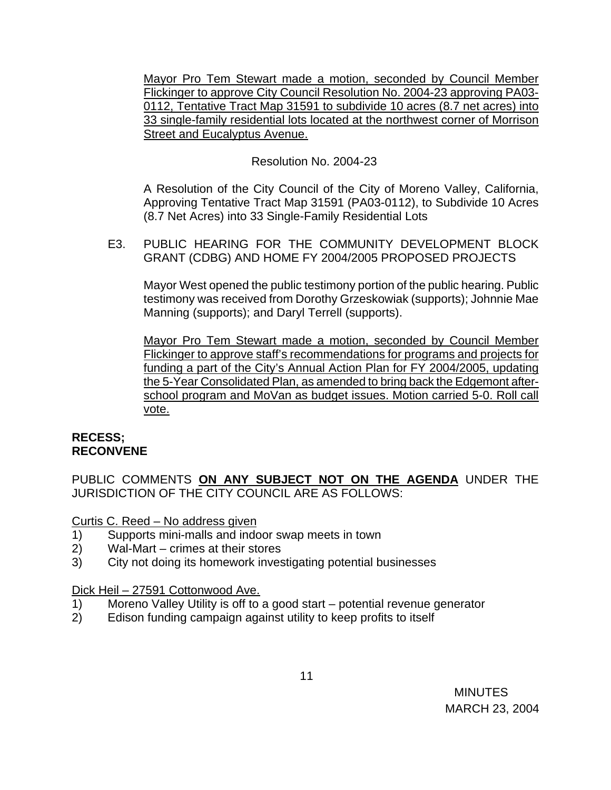Mayor Pro Tem Stewart made a motion, seconded by Council Member Flickinger to approve City Council Resolution No. 2004-23 approving PA03- 0112, Tentative Tract Map 31591 to subdivide 10 acres (8.7 net acres) into 33 single-family residential lots located at the northwest corner of Morrison Street and Eucalyptus Avenue.

# Resolution No. 2004-23

A Resolution of the City Council of the City of Moreno Valley, California, Approving Tentative Tract Map 31591 (PA03-0112), to Subdivide 10 Acres (8.7 Net Acres) into 33 Single-Family Residential Lots

 E3. PUBLIC HEARING FOR THE COMMUNITY DEVELOPMENT BLOCK GRANT (CDBG) AND HOME FY 2004/2005 PROPOSED PROJECTS

Mayor West opened the public testimony portion of the public hearing. Public testimony was received from Dorothy Grzeskowiak (supports); Johnnie Mae Manning (supports); and Daryl Terrell (supports).

Mayor Pro Tem Stewart made a motion, seconded by Council Member Flickinger to approve staff's recommendations for programs and projects for funding a part of the City's Annual Action Plan for FY 2004/2005, updating the 5-Year Consolidated Plan, as amended to bring back the Edgemont afterschool program and MoVan as budget issues. Motion carried 5-0. Roll call vote.

## **RECESS; RECONVENE**

PUBLIC COMMENTS **ON ANY SUBJECT NOT ON THE AGENDA** UNDER THE JURISDICTION OF THE CITY COUNCIL ARE AS FOLLOWS:

Curtis C. Reed – No address given

- 1) Supports mini-malls and indoor swap meets in town
- 2) Wal-Mart crimes at their stores
- 3) City not doing its homework investigating potential businesses

## Dick Heil – 27591 Cottonwood Ave.

- 1) Moreno Valley Utility is off to a good start potential revenue generator
- 2) Edison funding campaign against utility to keep profits to itself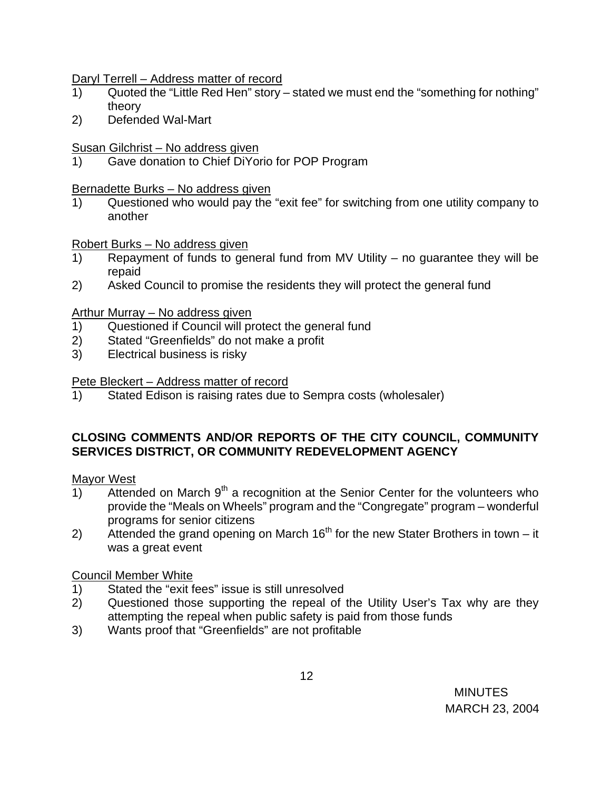Daryl Terrell – Address matter of record

- 1) Quoted the "Little Red Hen" story stated we must end the "something for nothing" theory
- 2) Defended Wal-Mart

## Susan Gilchrist – No address given

1) Gave donation to Chief DiYorio for POP Program

## Bernadette Burks – No address given

 1) Questioned who would pay the "exit fee" for switching from one utility company to another

Robert Burks – No address given

- 1) Repayment of funds to general fund from MV Utility no guarantee they will be repaid
- 2) Asked Council to promise the residents they will protect the general fund

## Arthur Murray – No address given

- 1) Questioned if Council will protect the general fund
- 2) Stated "Greenfields" do not make a profit
- 3) Electrical business is risky

Pete Bleckert – Address matter of record

1) Stated Edison is raising rates due to Sempra costs (wholesaler)

# **CLOSING COMMENTS AND/OR REPORTS OF THE CITY COUNCIL, COMMUNITY SERVICES DISTRICT, OR COMMUNITY REDEVELOPMENT AGENCY**

## Mayor West

- 1) Attended on March  $9<sup>th</sup>$  a recognition at the Senior Center for the volunteers who provide the "Meals on Wheels" program and the "Congregate" program – wonderful programs for senior citizens
- 2) Attended the grand opening on March  $16<sup>th</sup>$  for the new Stater Brothers in town it was a great event

# Council Member White

- 1) Stated the "exit fees" issue is still unresolved
- 2) Questioned those supporting the repeal of the Utility User's Tax why are they attempting the repeal when public safety is paid from those funds
- 3) Wants proof that "Greenfields" are not profitable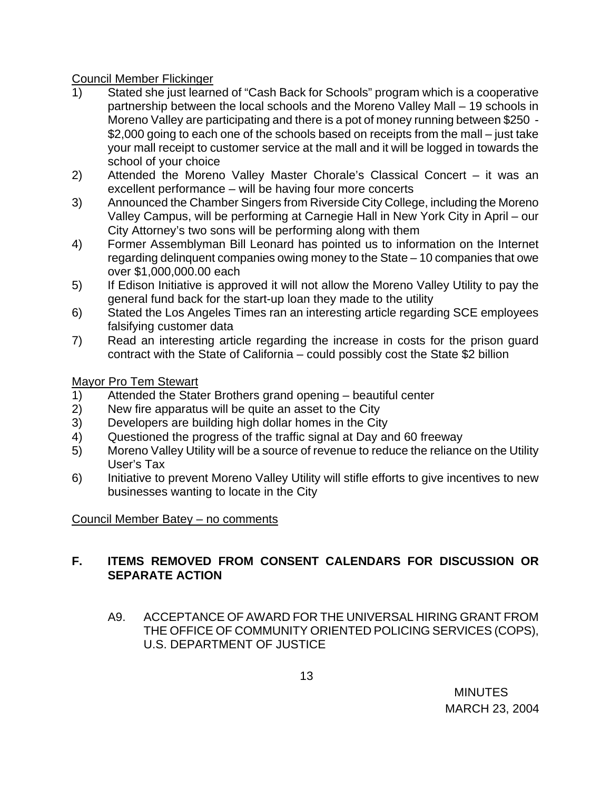# Council Member Flickinger

- 1) Stated she just learned of "Cash Back for Schools" program which is a cooperative partnership between the local schools and the Moreno Valley Mall – 19 schools in Moreno Valley are participating and there is a pot of money running between \$250 - \$2,000 going to each one of the schools based on receipts from the mall – just take your mall receipt to customer service at the mall and it will be logged in towards the school of your choice
- 2) Attended the Moreno Valley Master Chorale's Classical Concert it was an excellent performance – will be having four more concerts
- 3) Announced the Chamber Singers from Riverside City College, including the Moreno Valley Campus, will be performing at Carnegie Hall in New York City in April – our City Attorney's two sons will be performing along with them
- 4) Former Assemblyman Bill Leonard has pointed us to information on the Internet regarding delinquent companies owing money to the State – 10 companies that owe over \$1,000,000.00 each
- 5) If Edison Initiative is approved it will not allow the Moreno Valley Utility to pay the general fund back for the start-up loan they made to the utility
- 6) Stated the Los Angeles Times ran an interesting article regarding SCE employees falsifying customer data
- 7) Read an interesting article regarding the increase in costs for the prison guard contract with the State of California – could possibly cost the State \$2 billion

Mayor Pro Tem Stewart

- 1) Attended the Stater Brothers grand opening beautiful center
- 2) New fire apparatus will be quite an asset to the City
- 3) Developers are building high dollar homes in the City
- 4) Questioned the progress of the traffic signal at Day and 60 freeway
- 5) Moreno Valley Utility will be a source of revenue to reduce the reliance on the Utility User's Tax
- 6) Initiative to prevent Moreno Valley Utility will stifle efforts to give incentives to new businesses wanting to locate in the City

Council Member Batey – no comments

# **F. ITEMS REMOVED FROM CONSENT CALENDARS FOR DISCUSSION OR SEPARATE ACTION**

A9. ACCEPTANCE OF AWARD FOR THE UNIVERSAL HIRING GRANT FROM THE OFFICE OF COMMUNITY ORIENTED POLICING SERVICES (COPS), U.S. DEPARTMENT OF JUSTICE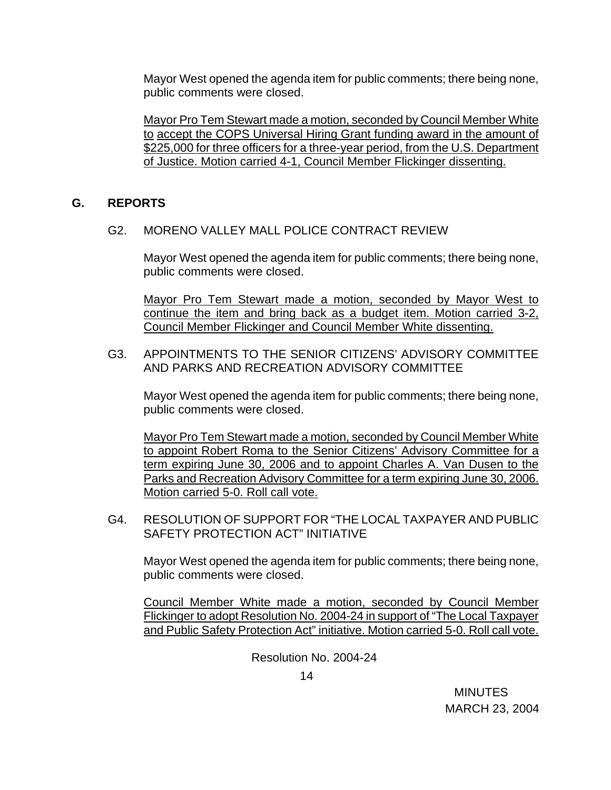Mayor West opened the agenda item for public comments; there being none, public comments were closed.

 Mayor Pro Tem Stewart made a motion, seconded by Council Member White to accept the COPS Universal Hiring Grant funding award in the amount of \$225,000 for three officers for a three-year period, from the U.S. Department of Justice. Motion carried 4-1, Council Member Flickinger dissenting.

## **G. REPORTS**

G2. MORENO VALLEY MALL POLICE CONTRACT REVIEW

Mayor West opened the agenda item for public comments; there being none, public comments were closed.

 Mayor Pro Tem Stewart made a motion, seconded by Mayor West to continue the item and bring back as a budget item. Motion carried 3-2, Council Member Flickinger and Council Member White dissenting.

#### G3. APPOINTMENTS TO THE SENIOR CITIZENS' ADVISORY COMMITTEE AND PARKS AND RECREATION ADVISORY COMMITTEE

Mayor West opened the agenda item for public comments; there being none, public comments were closed.

 Mayor Pro Tem Stewart made a motion, seconded by Council Member White to appoint Robert Roma to the Senior Citizens' Advisory Committee for a term expiring June 30, 2006 and to appoint Charles A. Van Dusen to the Parks and Recreation Advisory Committee for a term expiring June 30, 2006. Motion carried 5-0. Roll call vote.

G4. RESOLUTION OF SUPPORT FOR "THE LOCAL TAXPAYER AND PUBLIC SAFETY PROTECTION ACT" INITIATIVE

Mayor West opened the agenda item for public comments; there being none, public comments were closed.

 Council Member White made a motion, seconded by Council Member Flickinger to adopt Resolution No. 2004-24 in support of "The Local Taxpayer and Public Safety Protection Act" initiative. Motion carried 5-0. Roll call vote.

Resolution No. 2004-24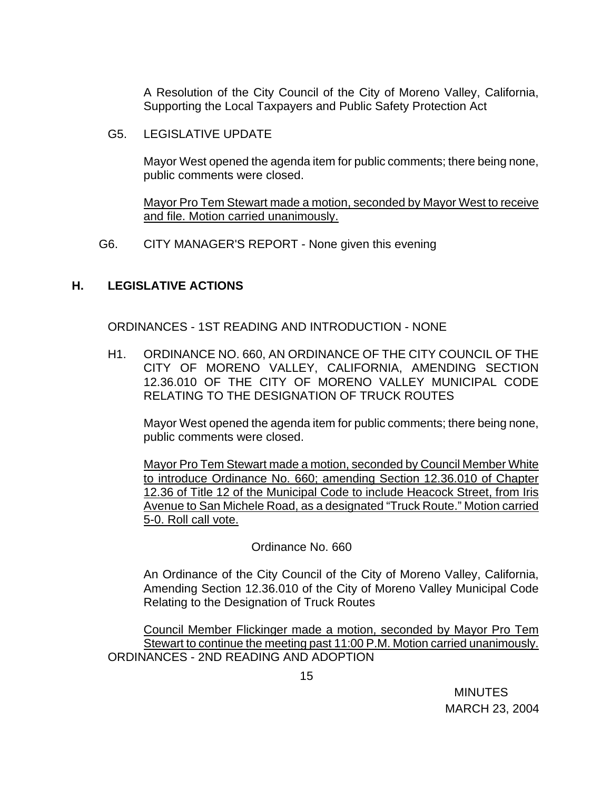A Resolution of the City Council of the City of Moreno Valley, California, Supporting the Local Taxpayers and Public Safety Protection Act

G5. LEGISLATIVE UPDATE

Mayor West opened the agenda item for public comments; there being none, public comments were closed.

 Mayor Pro Tem Stewart made a motion, seconded by Mayor West to receive and file. Motion carried unanimously.

G6. CITY MANAGER'S REPORT - None given this evening

# **H. LEGISLATIVE ACTIONS**

ORDINANCES - 1ST READING AND INTRODUCTION - NONE

H1. ORDINANCE NO. 660, AN ORDINANCE OF THE CITY COUNCIL OF THE CITY OF MORENO VALLEY, CALIFORNIA, AMENDING SECTION 12.36.010 OF THE CITY OF MORENO VALLEY MUNICIPAL CODE RELATING TO THE DESIGNATION OF TRUCK ROUTES

Mayor West opened the agenda item for public comments; there being none, public comments were closed.

 Mayor Pro Tem Stewart made a motion, seconded by Council Member White to introduce Ordinance No. 660; amending Section 12.36.010 of Chapter 12.36 of Title 12 of the Municipal Code to include Heacock Street, from Iris Avenue to San Michele Road, as a designated "Truck Route." Motion carried 5-0. Roll call vote.

Ordinance No. 660

An Ordinance of the City Council of the City of Moreno Valley, California, Amending Section 12.36.010 of the City of Moreno Valley Municipal Code Relating to the Designation of Truck Routes

Council Member Flickinger made a motion, seconded by Mayor Pro Tem Stewart to continue the meeting past 11:00 P.M. Motion carried unanimously. ORDINANCES - 2ND READING AND ADOPTION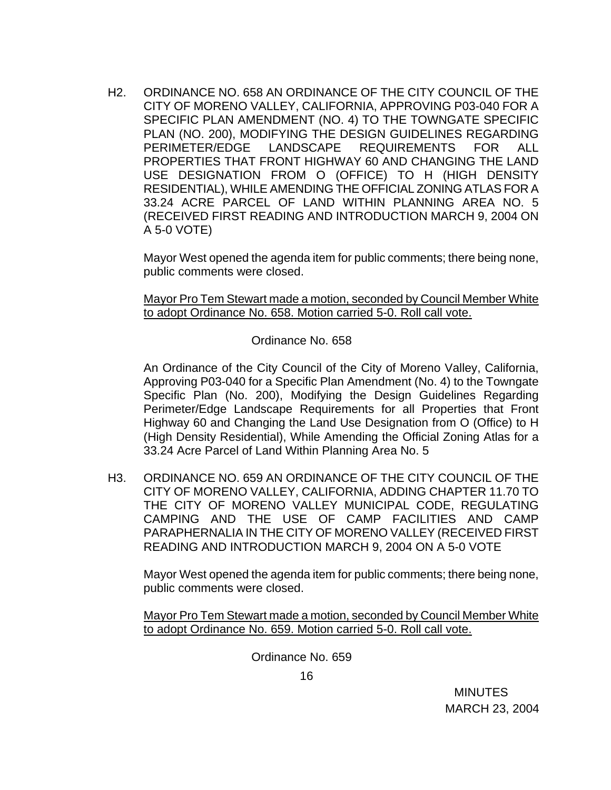H2. ORDINANCE NO. 658 AN ORDINANCE OF THE CITY COUNCIL OF THE CITY OF MORENO VALLEY, CALIFORNIA, APPROVING P03-040 FOR A SPECIFIC PLAN AMENDMENT (NO. 4) TO THE TOWNGATE SPECIFIC PLAN (NO. 200), MODIFYING THE DESIGN GUIDELINES REGARDING PERIMETER/EDGE LANDSCAPE REQUIREMENTS FOR ALL PROPERTIES THAT FRONT HIGHWAY 60 AND CHANGING THE LAND USE DESIGNATION FROM O (OFFICE) TO H (HIGH DENSITY RESIDENTIAL), WHILE AMENDING THE OFFICIAL ZONING ATLAS FOR A 33.24 ACRE PARCEL OF LAND WITHIN PLANNING AREA NO. 5 (RECEIVED FIRST READING AND INTRODUCTION MARCH 9, 2004 ON A 5-0 VOTE)

Mayor West opened the agenda item for public comments; there being none, public comments were closed.

 Mayor Pro Tem Stewart made a motion, seconded by Council Member White to adopt Ordinance No. 658. Motion carried 5-0. Roll call vote.

Ordinance No. 658

An Ordinance of the City Council of the City of Moreno Valley, California, Approving P03-040 for a Specific Plan Amendment (No. 4) to the Towngate Specific Plan (No. 200), Modifying the Design Guidelines Regarding Perimeter/Edge Landscape Requirements for all Properties that Front Highway 60 and Changing the Land Use Designation from O (Office) to H (High Density Residential), While Amending the Official Zoning Atlas for a 33.24 Acre Parcel of Land Within Planning Area No. 5

H3. ORDINANCE NO. 659 AN ORDINANCE OF THE CITY COUNCIL OF THE CITY OF MORENO VALLEY, CALIFORNIA, ADDING CHAPTER 11.70 TO THE CITY OF MORENO VALLEY MUNICIPAL CODE, REGULATING CAMPING AND THE USE OF CAMP FACILITIES AND CAMP PARAPHERNALIA IN THE CITY OF MORENO VALLEY (RECEIVED FIRST READING AND INTRODUCTION MARCH 9, 2004 ON A 5-0 VOTE

Mayor West opened the agenda item for public comments; there being none, public comments were closed.

Mayor Pro Tem Stewart made a motion, seconded by Council Member White to adopt Ordinance No. 659. Motion carried 5-0. Roll call vote.

Ordinance No. 659